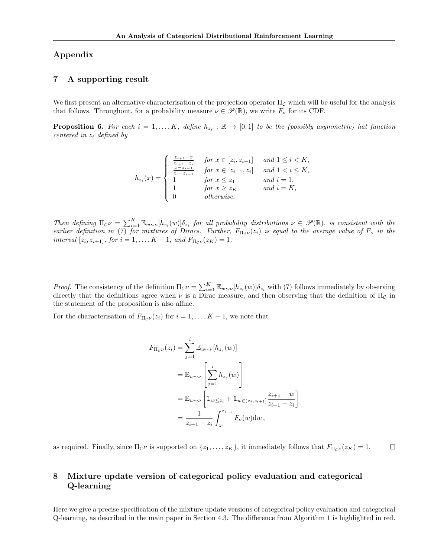## Appendix

## 7 A supporting result

We first present an alternative characterisation of the projection operator  $\Pi_{\mathcal{C}}$  which will be useful for the analysis that follows. Throughout, for a probability measure  $\nu \in \mathscr{P}(\mathbb{R})$ , we write  $F_{\nu}$  for its CDF.

**Proposition 6.** For each  $i = 1, ..., K$ , define  $h_{z_i} : \mathbb{R} \to [0,1]$  to be the (possibly asymmetric) hat function centered in  $z_i$  defined by

$$
h_{z_i}(x) = \begin{cases} \frac{z_{i+1} - x}{z_{i+1} - z_i} & \text{for } x \in [z_i, z_{i+1}] & \text{and } 1 \le i < K, \\ \frac{x - z_{i-1}}{z_i - z_{i-1}} & \text{for } x \in [z_{i-1}, z_i] & \text{and } 1 < i \le K, \\ 1 & \text{for } x \le z_1 & \text{and } i = 1, \\ 1 & \text{for } x \ge z_K & \text{and } i = K, \\ 0 & \text{otherwise.} \end{cases}
$$

Then defining  $\Pi_{\mathcal{C}} \nu = \sum_{i=1}^K \mathbb{E}_{w \sim \nu} [h_{z_i}(w)] \delta_{z_i}$  for all probability distributions  $\nu \in \mathscr{P}(\mathbb{R})$ , is consistent with the earlier definition in (7) for mixtures of Diracs. Further,  $F_{\Pi_{\mathcal{C}}\nu}(z_i)$  is equal to the average value of  $F_{\nu}$  in the interval  $[z_i, z_{i+1}],$  for  $i = 1, ..., K - 1$ , and  $F_{\Pi_{\mathcal{C}}\nu}(z_K) = 1$ .

*Proof.* The consistency of the definition  $\Pi_{\mathcal{C}} \nu = \sum_{i=1}^{K} \mathbb{E}_{w \sim \nu} [h_{z_i}(w)] \delta_{z_i}$  with (7) follows immediately by observing directly that the definitions agree when  $\nu$  is a Dirac measure, and then observing that the definition of  $\Pi_c$  in the statement of the proposition is also affine.

For the characterisation of  $F_{\Pi_{\mathcal{C}}\nu}(z_i)$  for  $i = 1, ..., K - 1$ , we note that

$$
F_{\Pi_{\mathcal{C}}\nu}(z_i) = \sum_{j=1}^i \mathbb{E}_{w \sim \nu} [h_{z_j}(w)]
$$
  
=  $\mathbb{E}_{w \sim \nu} \left[ \sum_{j=1}^i h_{z_j}(w) \right]$   
=  $\mathbb{E}_{w \sim \nu} \left[ \mathbb{1}_{w \le z_i} + \mathbb{1}_{w \in (z_i, z_{i+1}]} \frac{z_{i+1} - w}{z_{i+1} - z_i} \right]$   
=  $\frac{1}{z_{i+1} - z_i} \int_{z_i}^{z_{i+1}} F_{\nu}(w) dw$ ,

as required. Finally, since  $\Pi_{\mathcal{C}}\nu$  is supported on  $\{z_1, \ldots, z_K\}$ , it immediately follows that  $F_{\Pi_{\mathcal{C}}\nu}(z_K) = 1$ .  $\Box$ 

# 8 Mixture update version of categorical policy evaluation and categorical Q-learning

Here we give a precise specification of the mixture update versions of categorical policy evaluation and categorical Q-learning, as described in the main paper in Section 4.3. The difference from Algorithm 1 is highlighted in red.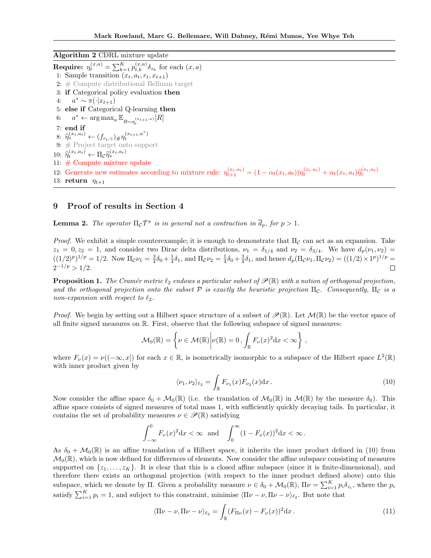Algorithm 2 CDRL mixture update

**Require:**  $\eta_t^{(x,a)} = \sum_{k=1}^K p_{t,k}^{(x,a)} \delta_{z_k}$  for each  $(x, a)$ 1: Sample transition  $(x_t, a_t, r_t, x_{t+1})$ 2: # Compute distributional Bellman target 3: if Categorical policy evaluation then  $4:$  $a^* \sim \pi(\cdot|x_{t+1})$ 5: else if Categorical Q-learning then 6:  $a^* \leftarrow \arg \max_a \mathbb{E}_{R \sim \eta_t^{(x_{t+1},a)}}[R]$ 7: end if 8:  $\hat{\eta}_*^{(x_t, a_t)} \leftarrow (f_{r_t, \gamma}) \# \hat{\eta}_t^{(x_{t+1}, a^*)}$ 9: # Project target onto support 10:  $\hat{\eta}_t^{(x_t, a_t)} \leftarrow \Pi_{\mathcal{C}} \hat{\eta}_*^{(x_t, a_t)}$ ∗ 11: # Compute mixture update 12: Generate new estimates according to mixture rule:  $\eta_{t+1}^{(x_t, a_t)} = (1 - \alpha_t(x_t, a_t)) \eta_t^{(x_t, a_t)} + \alpha_t(x_t, a_t) \hat{\eta}_t^{(x_t, a_t)}$ 13: return  $\eta_{t+1}$ 

### 9 Proof of results in Section 4

**Lemma 2.** The operator  $\Pi_c \mathcal{T}^{\pi}$  is in general not a contraction in  $\overline{d}_p$ , for  $p > 1$ .

*Proof.* We exhibit a simple counterexample; it is enough to demonstrate that  $\Pi_c$  can act as an expansion. Take  $z_1 = 0, z_2 = 1$ , and consider two Dirac delta distributions,  $\nu_1 = \delta_{1/4}$  and  $\nu_2 = \delta_{3/4}$ . We have  $d_p(\nu_1, \nu_2)$  $((1/2)^p)^{1/p} = 1/2$ . Now  $\Pi_c \nu_1 = \frac{3}{4} \delta_0 + \frac{1}{4} \delta_1$ , and  $\Pi_c \nu_2 = \frac{1}{4} \delta_0 + \frac{3}{4} \delta_1$ , and hence  $d_p(\Pi_c \nu_1, \Pi_c \nu_2) = ((1/2) \times 1^p)^{1/p} =$  $2^{-1/p} > 1/2$ .  $\Box$ 

**Proposition 1.** The Cramér metric  $\ell_2$  endows a particular subset of  $\mathscr{P}(\mathbb{R})$  with a notion of orthogonal projection, and the orthogonal projection onto the subset  $\mathcal P$  is exactly the heuristic projection  $\Pi_c$ . Consequently,  $\Pi_c$  is a non-expansion with respect to  $\ell_2$ .

*Proof.* We begin by setting out a Hilbert space structure of a subset of  $\mathscr{P}(\mathbb{R})$ . Let  $\mathcal{M}(\mathbb{R})$  be the vector space of all finite signed measures on R. First, observe that the following subspace of signed measures:

$$
\mathcal{M}_0(\mathbb{R}) = \left\{ \nu \in \mathcal{M}(\mathbb{R}) \middle| \nu(\mathbb{R}) = 0, \int_{\mathbb{R}} F_{\nu}(x)^2 dx < \infty \right\}
$$

where  $F_{\nu}(x) = \nu((-\infty, x])$  for each  $x \in \mathbb{R}$ , is isometrically isomorphic to a subspace of the Hilbert space  $L^2(\mathbb{R})$ with inner product given by

$$
\langle \nu_1, \nu_2 \rangle_{\ell_2} = \int_{\mathbb{R}} F_{\nu_1}(x) F_{\nu_2}(x) dx.
$$
 (10)

,

Now consider the affine space  $\delta_0 + \mathcal{M}_0(\mathbb{R})$  (i.e. the translation of  $\mathcal{M}_0(\mathbb{R})$  in  $\mathcal{M}(\mathbb{R})$  by the measure  $\delta_0$ ). This affine space consists of signed measures of total mass 1, with sufficiently quickly decaying tails. In particular, it contains the set of probability measures  $\nu \in \mathscr{P}(\mathbb{R})$  satisfying

$$
\int_{-\infty}^{0} F_{\nu}(x)^{2} dx < \infty \text{ and } \int_{0}^{\infty} (1 - F_{\nu}(x))^{2} dx < \infty.
$$

As  $\delta_0 + \mathcal{M}_0(\mathbb{R})$  is an affine translation of a Hilbert space, it inherits the inner product defined in (10) from  $\mathcal{M}_0(\mathbb{R})$ , which is now defined for differences of elements. Now consider the affine subspace consisting of measures supported on  $\{z_1, \ldots, z_K\}$ . It is clear that this is a closed affine subspace (since it is finite-dimensional), and therefore there exists an orthogonal projection (with respect to the inner product defined above) onto this subspace, which we denote by  $\Pi$ . Given a probability measure  $\nu \in \delta_0 + \mathcal{M}_0(\mathbb{R})$ ,  $\Pi \nu = \sum_{i=1}^K p_i \delta_{z_i}$ , where the  $p_i$ satisfy  $\sum_{i=1}^{K} p_i = 1$ , and subject to this constraint, minimise  $\langle \Pi \nu - \nu, \Pi \nu - \nu \rangle_{\ell_2}$ . But note that

$$
\langle \Pi \nu - \nu, \Pi \nu - \nu \rangle_{\ell_2} = \int_{\mathbb{R}} (F_{\Pi \nu}(x) - F_{\nu}(x))^2 dx.
$$
 (11)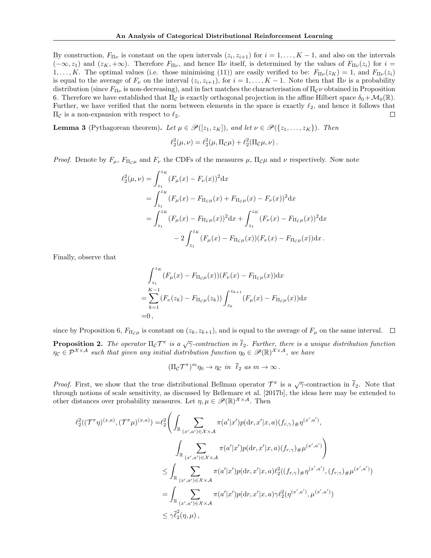By construction,  $F_{\Pi\nu}$  is constant on the open intervals  $(z_i, z_{i+1})$  for  $i = 1, ..., K - 1$ , and also on the intervals  $(-\infty, z_1)$  and  $(z_K, +\infty)$ . Therefore  $F_{\Pi\nu}$ , and hence  $\Pi\nu$  itself, is determined by the values of  $F_{\Pi\nu}(z_i)$  for  $i =$  $1, \ldots, K$ . The optimal values (i.e. those minimising (11)) are easily verified to be:  $F_{\Pi\nu}(z_K) = 1$ , and  $F_{\Pi\nu}(z_i)$ is equal to the average of  $F_{\nu}$  on the interval  $(z_i, z_{i+1})$ , for  $i = 1, ..., K - 1$ . Note then that  $\Pi \nu$  is a probability distribution (since  $F_{\Pi\nu}$  is non-decreasing), and in fact matches the characterisation of  $\Pi_{\mathcal{C}}\nu$  obtained in Proposition 6. Therefore we have established that  $\Pi_{\mathcal{C}}$  is exactly orthogonal projection in the affine Hilbert space  $\delta_0 + \mathcal{M}_0(\mathbb{R})$ . Further, we have verified that the norm between elements in the space is exactly  $\ell_2$ , and hence it follows that  $\Pi$ <sub>*C*</sub> is a non-expansion with respect to  $\ell_2$ . □

**Lemma 3** (Pythagorean theorem). Let  $\mu \in \mathcal{P}([z_1, z_K])$ , and let  $\nu \in \mathcal{P}(\{z_1, \ldots, z_K\})$ . Then

$$
\ell_2^2(\mu,\nu) = \ell_2^2(\mu,\Pi_{\mathcal{C}}\mu) + \ell_2^2(\Pi_{\mathcal{C}}\mu,\nu).
$$

*Proof.* Denote by  $F_{\mu}$ ,  $F_{\Pi_c\mu}$  and  $F_{\nu}$  the CDFs of the measures  $\mu$ ,  $\Pi_c\mu$  and  $\nu$  respectively. Now note

$$
\ell_2^2(\mu, \nu) = \int_{z_1}^{z_K} (F_{\mu}(x) - F_{\nu}(x))^2 dx
$$
  
\n
$$
= \int_{z_1}^{z_K} (F_{\mu}(x) - F_{\Pi_C \mu}(x) + F_{\Pi_C \mu}(x) - F_{\nu}(x))^2 dx
$$
  
\n
$$
= \int_{z_1}^{z_K} (F_{\mu}(x) - F_{\Pi_C \mu}(x))^2 dx + \int_{z_1}^{z_K} (F_{\nu}(x) - F_{\Pi_C \mu}(x))^2 dx
$$
  
\n
$$
- 2 \int_{z_1}^{z_K} (F_{\mu}(x) - F_{\Pi_C \mu}(x)) (F_{\nu}(x) - F_{\Pi_C \mu}(x)) dx.
$$

Finally, observe that

$$
\int_{z_1}^{z_K} (F_{\mu}(x) - F_{\Pi_c \mu}(x))(F_{\nu}(x) - F_{\Pi_c \mu}(x))dx
$$
  
= 
$$
\sum_{k=1}^{K-1} (F_{\nu}(z_k) - F_{\Pi_c \mu}(z_k)) \int_{z_k}^{z_{k+1}} (F_{\mu}(x) - F_{\Pi_c \mu}(x))dx
$$
  
= 0,

since by Proposition 6,  $F_{\Pi_c\mu}$  is constant on  $(z_k, z_{k+1})$ , and is equal to the average of  $F_\mu$  on the same interval.  $\Box$ 

**Proposition 2.** The operator  $\Pi_c \mathcal{T}^{\pi}$  is a  $\sqrt{\gamma}$ -contraction in  $\overline{\ell}_2$ . Further, there is a unique distribution function  $\eta_c \in \mathcal{P}^{X \times A}$  such that given any initial distribution function  $\eta_0 \in \mathscr{P}(\mathbb{R})^{X \times A}$ , we have

$$
(\Pi_{\mathcal{C}}\mathcal{T}^{\pi})^{m}\eta_{0} \to \eta_{\mathcal{C}} \text{ in } \overline{\ell}_{2} \text{ as } m \to \infty.
$$

*Proof.* First, we show that the true distributional Bellman operator  $\mathcal{T}^{\pi}$  is a  $\sqrt{\gamma}$ -contraction in  $\bar{\ell}_2$ . Note that through notions of scale sensitivity, as discussed by Bellemare et al. [2017b], the ideas here may be extended to other distances over probability measures. Let  $\eta, \mu \in \mathscr{P}(\mathbb{R})^{\mathcal{X} \times \mathcal{A}}$ . Then

$$
\ell_{2}^{2}((\mathcal{T}^{\pi}\eta)^{(x,a)},(\mathcal{T}^{\pi}\mu)^{(x,a)}) = \ell_{2}^{2} \Bigg( \int_{\mathbb{R}} \sum_{(x',a') \in \mathcal{X} \times \mathcal{A}} \pi(a'|x')p(\mathrm{d}r,x'|x,a)(f_{r,\gamma}) \# \eta^{(x',a')},
$$
\n
$$
\int_{\mathbb{R}} \sum_{(x',a') \in \mathcal{X} \times \mathcal{A}} \pi(a'|x')p(\mathrm{d}r,x'|x,a)(f_{r,\gamma}) \# \mu^{(x',a')}\Bigg)
$$
\n
$$
\leq \int_{\mathbb{R}} \sum_{(x',a') \in \mathcal{X} \times \mathcal{A}} \pi(a'|x')p(\mathrm{d}r,x'|x,a)\ell_{2}^{2}((f_{r,\gamma})\# \eta^{(x',a')}, (f_{r,\gamma})\# \mu^{(x',a')})
$$
\n
$$
= \int_{\mathbb{R}} \sum_{(x',a') \in \mathcal{X} \times \mathcal{A}} \pi(a'|x')p(\mathrm{d}r,x'|x,a)\gamma \ell_{2}^{2}(\eta^{(x',a')}, \mu^{(x',a')})
$$
\n
$$
\leq \gamma \bar{\ell}_{2}^{2}(\eta,\mu),
$$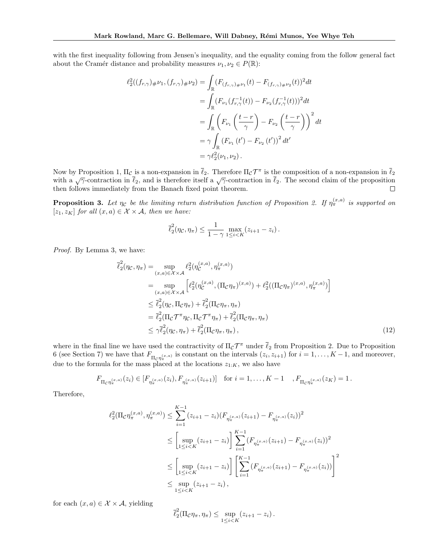with the first inequality following from Jensen's inequality, and the equality coming from the follow general fact about the Cramér distance and probability measures  $\nu_1, \nu_2 \in P(\mathbb{R})$ :

$$
\ell_2^2((f_{r,\gamma})_{\#}\nu_1,(f_{r,\gamma})_{\#}\nu_2) = \int_{\mathbb{R}} (F_{(f_{r,\gamma})_{\#}\nu_1}(t) - F_{(f_{r,\gamma})_{\#}\nu_2}(t))^2 dt
$$
  
\n
$$
= \int_{\mathbb{R}} (F_{\nu_1}(f_{r,\gamma}^{-1}(t)) - F_{\nu_2}(f_{r,\gamma}^{-1}(t)))^2 dt
$$
  
\n
$$
= \int_{\mathbb{R}} \left(F_{\nu_1}\left(\frac{t-r}{\gamma}\right) - F_{\nu_2}\left(\frac{t-r}{\gamma}\right)\right)^2 dt
$$
  
\n
$$
= \gamma \int_{\mathbb{R}} (F_{\nu_1}(t') - F_{\nu_2}(t'))^2 dt'
$$
  
\n
$$
= \gamma \ell_2^2(\nu_1, \nu_2).
$$

Now by Proposition 1,  $\Pi_{\mathcal{C}}$  is a non-expansion in  $\overline{\ell}_2$ . Therefore  $\Pi_{\mathcal{C}} \mathcal{T}^{\pi}$  is the composition of a non-expansion in  $\overline{\ell}_2$ with a  $\sqrt{\gamma}$ -contraction in  $\overline{\ell}_2$ , and is therefore itself a  $\sqrt{\gamma}$ -contraction in  $\overline{\ell}_2$ . The second claim of the proposition then follows immediately from the Banach fixed point theorem.  $\Box$ 

**Proposition 3.** Let  $\eta_c$  be the limiting return distribution function of Proposition 2. If  $\eta_{\pi}^{(x,a)}$  is supported on  $[z_1, z_K]$  for all  $(x, a) \in \mathcal{X} \times \mathcal{A}$ , then we have:

$$
\overline{\ell}_2^2(\eta_{\mathcal{C}}, \eta_{\pi}) \leq \frac{1}{1-\gamma} \max_{1 \leq i < K} (z_{i+1} - z_i).
$$

Proof. By Lemma 3, we have:

$$
\overline{\ell}_{2}^{2}(\eta_{\mathcal{C}}, \eta_{\pi}) = \sup_{(x,a)\in\mathcal{X}\times\mathcal{A}} \ell_{2}^{2}(\eta_{\mathcal{C}}^{(x,a)}, \eta_{\pi}^{(x,a)})
$$
\n
$$
= \sup_{(x,a)\in\mathcal{X}\times\mathcal{A}} \left[ \ell_{2}^{2}(\eta_{\mathcal{C}}^{(x,a)}, (\Pi_{\mathcal{C}}\eta_{\pi})^{(x,a)}) + \ell_{2}^{2}((\Pi_{\mathcal{C}}\eta_{\pi})^{(x,a)}, \eta_{\pi}^{(x,a)}) \right]
$$
\n
$$
\leq \overline{\ell}_{2}^{2}(\eta_{\mathcal{C}}, \Pi_{\mathcal{C}}\eta_{\pi}) + \overline{\ell}_{2}^{2}(\Pi_{\mathcal{C}}\eta_{\pi}, \eta_{\pi})
$$
\n
$$
= \overline{\ell}_{2}^{2}(\Pi_{\mathcal{C}}\mathcal{T}^{\pi}\eta_{\mathcal{C}}, \Pi_{\mathcal{C}}\mathcal{T}^{\pi}\eta_{\pi}) + \overline{\ell}_{2}^{2}(\Pi_{\mathcal{C}}\eta_{\pi}, \eta_{\pi})
$$
\n
$$
\leq \gamma \overline{\ell}_{2}^{2}(\eta_{\mathcal{C}}, \eta_{\pi}) + \overline{\ell}_{2}^{2}(\Pi_{\mathcal{C}}\eta_{\pi}, \eta_{\pi}), \qquad (12)
$$

where in the final line we have used the contractivity of  $\Pi_{\mathcal{C}} \mathcal{T}^{\pi}$  under  $\overline{\ell}_2$  from Proposition 2. Due to Proposition 6 (see Section 7) we have that  $F_{\Pi_{\mathcal{C}} \eta_{\pi}^{(x,a)}}$  is constant on the intervals  $(z_i, z_{i+1})$  for  $i = 1, \ldots, K-1$ , and moreover, due to the formula for the mass placed at the locations  $z_{1:K}$ , we also have

$$
F_{\Pi_{\mathcal{C}}\eta_{\pi}^{(x,a)}}(z_i) \in [F_{\eta_{\pi}^{(x,a)}}(z_i), F_{\eta_{\pi}^{(x,a)}}(z_{i+1})] \text{ for } i = 1,\ldots,K-1, K-1, K_{\Pi_{\mathcal{C}}\eta_{\pi}^{(x,a)}}(z_K) = 1.
$$

Therefore,

$$
\ell_2^2(\Pi_{\mathcal{C}} \eta_{\pi}^{(x,a)}, \eta_{\pi}^{(x,a)}) \leq \sum_{i=1}^{K-1} (z_{i+1} - z_i) (F_{\eta_{\pi}^{(x,a)}}(z_{i+1}) - F_{\eta_{\pi}^{(x,a)}}(z_i))^2
$$
  

$$
\leq \left[ \sup_{1 \leq i < K} (z_{i+1} - z_i) \right] \sum_{i=1}^{K-1} (F_{\eta_{\pi}^{(x,a)}}(z_{i+1}) - F_{\eta_{\pi}^{(x,a)}}(z_i))^2
$$
  

$$
\leq \left[ \sup_{1 \leq i < K} (z_{i+1} - z_i) \right] \left[ \sum_{i=1}^{K-1} (F_{\eta_{\pi}^{(x,a)}}(z_{i+1}) - F_{\eta_{\pi}^{(x,a)}}(z_i)) \right]^2
$$
  

$$
\leq \sup_{1 \leq i < K} (z_{i+1} - z_i),
$$

for each  $(x, a) \in \mathcal{X} \times \mathcal{A}$ , yielding

$$
\overline{\ell}_2^2(\Pi_{\mathcal{C}}\eta_{\pi}, \eta_{\pi}) \leq \sup_{1 \leq i < K} (z_{i+1} - z_i).
$$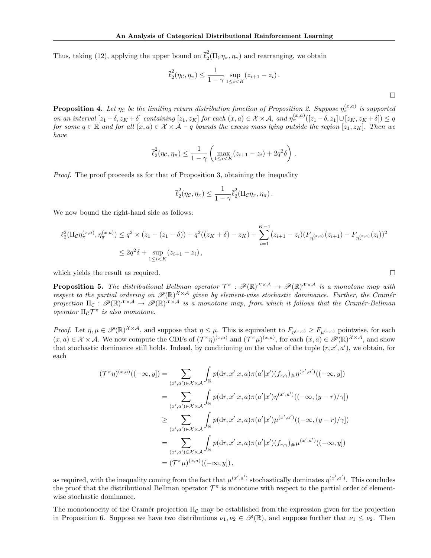Thus, taking (12), applying the upper bound on  $\bar{\ell}_2^2$  $\frac{2}{2}(\Pi_{\mathcal{C}}\eta_{\pi}, \eta_{\pi})$  and rearranging, we obtain

$$
\overline{\ell}_2^2(\eta_{\mathcal{C}}, \eta_{\pi}) \le \frac{1}{1-\gamma} \sup_{1 \le i < K} (z_{i+1} - z_i).
$$

.

**Proposition 4.** Let  $\eta_c$  be the limiting return distribution function of Proposition 2. Suppose  $\eta_{\pi}^{(x,a)}$  is supported on an interval  $[z_1-\delta, z_K+\delta]$  containing  $[z_1, z_K]$  for each  $(x, a) \in \mathcal{X} \times \mathcal{A}$ , and  $\eta_{\pi}^{(x,a)}([z_1-\delta, z_1] \cup [z_K, z_K+\delta]) \leq q$ for some  $q \in \mathbb{R}$  and for all  $(x, a) \in \mathcal{X} \times \mathcal{A} - q$  bounds the excess mass lying outside the region  $[z_1, z_K]$ . Then we have

$$
\overline{\ell}_2^2(\eta_{\mathcal{C}}, \eta_{\pi}) \le \frac{1}{1-\gamma} \left( \max_{1 \le i < K} (z_{i+1} - z_i) + 2q^2 \delta \right)
$$

Proof. The proof proceeds as for that of Proposition 3, obtaining the inequality

$$
\overline{\ell}_2^2(\eta_{\mathcal{C}}, \eta_{\pi}) \leq \frac{1}{1-\gamma} \overline{\ell}_2^2(\Pi_{\mathcal{C}} \eta_{\pi}, \eta_{\pi}).
$$

We now bound the right-hand side as follows:

$$
\ell_2^2(\Pi_{\mathcal{C}}\eta_{\pi}^{(x,a)},\eta_{\pi}^{(x,a)}) \le q^2 \times (z_1 - (z_1 - \delta)) + q^2((z_K + \delta) - z_K) + \sum_{i=1}^{K-1} (z_{i+1} - z_i)(F_{\eta_{\pi}^{(x,a)}}(z_{i+1}) - F_{\eta_{\pi}^{(x,a)}}(z_i))^2
$$
  

$$
\le 2q^2\delta + \sup_{1 \le i < K} (z_{i+1} - z_i),
$$

which yields the result as required.

**Proposition 5.** The distributional Bellman operator  $\mathcal{T}^{\pi}: \mathscr{P}(\mathbb{R})^{\mathcal{X}\times\mathcal{A}} \to \mathscr{P}(\mathbb{R})^{\mathcal{X}\times\mathcal{A}}$  is a monotone map with respect to the partial ordering on  $\mathscr{P}(\mathbb{R})^{\mathcal{X}\times\mathcal{A}}$  given by element-wise stochastic dominance. Further, the Cramér projection  $\Pi_c$  :  $\mathscr{P}(\mathbb{R})^{\mathcal{X}\times\mathcal{A}} \to \mathscr{P}(\mathbb{R})^{\mathcal{X}\times\mathcal{A}}$  is a monotone map, from which it follows that the Cramér-Bellman operator  $\Pi_{\mathcal{C}} \mathcal{T}^{\pi}$  is also monotone.

*Proof.* Let  $\eta, \mu \in \mathscr{P}(\mathbb{R})^{\mathcal{X} \times \mathcal{A}}$ , and suppose that  $\eta \leq \mu$ . This is equivalent to  $F_{\eta(x,a)} \geq F_{\mu(x,a)}$  pointwise, for each  $(x, a) \in \mathcal{X} \times \mathcal{A}$ . We now compute the CDFs of  $(\mathcal{T}^{\pi}\eta)^{(x,a)}$  and  $(\mathcal{T}^{\pi}\mu)^{(x,a)}$ , for each  $(x, a) \in \mathcal{P}(\mathbb{R})^{\mathcal{X} \times \mathcal{A}}$ , and show that stochastic dominance still holds. Indeed, by conditioning on the value of the tuple  $(r, x', a')$ , we obtain, for each

$$
(\mathcal{T}^{\pi}\eta)^{(x,a)}((-\infty, y]) = \sum_{(x',a')\in\mathcal{X}\times\mathcal{A}} \int_{\mathbb{R}} p(\mathrm{d}r, x'|x, a)\pi(a'|x')(f_{r,\gamma})\#\eta^{(x',a')}((-\infty, y])
$$
  
\n
$$
= \sum_{(x',a')\in\mathcal{X}\times\mathcal{A}} \int_{\mathbb{R}} p(\mathrm{d}r, x'|x, a)\pi(a'|x')\eta^{(x',a')}((-\infty, (y-r)/\gamma])
$$
  
\n
$$
\geq \sum_{(x',a')\in\mathcal{X}\times\mathcal{A}} \int_{\mathbb{R}} p(\mathrm{d}r, x'|x, a)\pi(a'|x')\mu^{(x',a')}((-\infty, (y-r)/\gamma])
$$
  
\n
$$
= \sum_{(x',a')\in\mathcal{X}\times\mathcal{A}} \int_{\mathbb{R}} p(\mathrm{d}r, x'|x, a)\pi(a'|x')(f_{r,\gamma})\#\mu^{(x',a')}((-\infty, y])
$$
  
\n
$$
= (\mathcal{T}^{\pi}\mu)^{(x,a)}((-\infty, y]),
$$

as required, with the inequality coming from the fact that  $\mu^{(x',a')}$  stochastically dominates  $\eta^{(x',a')}$ . This concludes the proof that the distributional Bellman operator  $\mathcal{T}^{\pi}$  is monotone with respect to the partial order of elementwise stochastic dominance.

The monotonocity of the Cramér projection  $\Pi_{\mathcal{C}}$  may be established from the expression given for the projection in Proposition 6. Suppose we have two distributions  $\nu_1, \nu_2 \in \mathscr{P}(\mathbb{R})$ , and suppose further that  $\nu_1 \leq \nu_2$ . Then

 $\Box$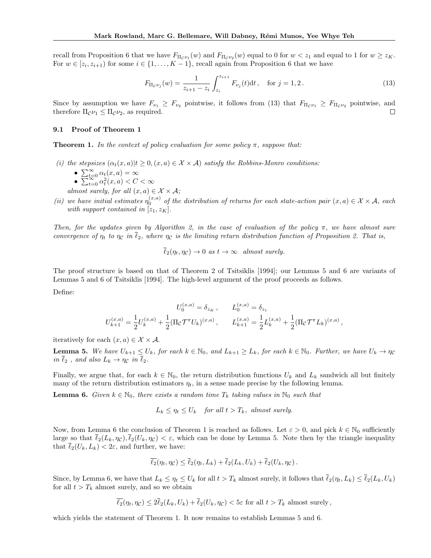recall from Proposition 6 that we have  $F_{\Pi_C \nu_1}(w)$  and  $F_{\Pi_C \nu_2}(w)$  equal to 0 for  $w < z_1$  and equal to 1 for  $w \ge z_K$ . For  $w \in [z_i, z_{i+1})$  for some  $i \in \{1, ..., K-1\}$ , recall again from Proposition 6 that we have

$$
F_{\Pi_{\mathcal{C}}\nu_j}(w) = \frac{1}{z_{i+1} - z_i} \int_{z_i}^{z_{i+1}} F_{\nu_j}(t) dt, \quad \text{for } j = 1, 2.
$$
 (13)

Since by assumption we have  $F_{\nu_1} \geq F_{\nu_2}$  pointwise, it follows from (13) that  $F_{\Pi_c \nu_1} \geq F_{\Pi_c \nu_2}$  pointwise, and therefore  $\Pi_c \nu_1 \leq \Pi_c \nu_2$ , as required. therefore  $\Pi_{\mathcal{C}}\nu_1 \leq \Pi_{\mathcal{C}}\nu_2$ , as required.

#### 9.1 Proof of Theorem 1

**Theorem 1.** In the context of policy evaluation for some policy  $\pi$ , suppose that:

- (i) the stepsizes  $(\alpha_t(x, a)|t \geq 0, (x, a) \in \mathcal{X} \times \mathcal{A})$  satisfy the Robbins-Monro conditions:
	- $\sum_{t=0}^{\infty} \alpha_t(x, a) = \infty$
	- $\sum_{t=0}^{\infty} \alpha_t^2(x, a) < C < \infty$
	- almost surely, for all  $(x, a) \in \mathcal{X} \times \mathcal{A}$ ;
- (ii) we have initial estimates  $\eta_0^{(x,a)}$  of the distribution of returns for each state-action pair  $(x,a) \in \mathcal{X} \times \mathcal{A}$ , each with support contained in  $[z_1, z_K]$ .

Then, for the updates given by Algorithm 2, in the case of evaluation of the policy  $\pi$ , we have almost sure convergence of  $\eta_t$  to  $\eta_c$  in  $\ell_2$ , where  $\eta_c$  is the limiting return distribution function of Proposition 2. That is,

$$
\overline{\ell}_2(\eta_t, \eta_c) \to 0 \text{ as } t \to \infty \text{ almost surely.}
$$

The proof structure is based on that of Theorem 2 of Tsitsiklis [1994]; our Lemmas 5 and 6 are variants of Lemmas 5 and 6 of Tsitsiklis [1994]. The high-level argument of the proof proceeds as follows.

Define:

$$
U_0^{(x,a)} = \delta_{z_K} , \qquad L_0^{(x,a)} = \delta_{z_1}
$$
  

$$
U_{k+1}^{(x,a)} = \frac{1}{2} U_k^{(x,a)} + \frac{1}{2} (\Pi_{\mathcal{C}} \mathcal{T}^{\pi} U_k)^{(x,a)} , \qquad L_{k+1}^{(x,a)} = \frac{1}{2} L_k^{(x,a)} + \frac{1}{2} (\Pi_{\mathcal{C}} \mathcal{T}^{\pi} L_k)^{(x,a)} ,
$$

iteratively for each  $(x, a) \in \mathcal{X} \times \mathcal{A}$ .

**Lemma 5.** We have  $U_{k+1} \leq U_k$ , for each  $k \in \mathbb{N}_0$ , and  $L_{k+1} \geq L_k$ , for each  $k \in \mathbb{N}_0$ . Further, we have  $U_k \to \eta_c$ in  $\overline{\ell}_2$ , and also  $L_k \to \eta_c$  in  $\overline{\ell}_2$ .

Finally, we argue that, for each  $k \in \mathbb{N}_0$ , the return distribution functions  $U_k$  and  $L_k$  sandwich all but finitely many of the return distribution estimators  $\eta_t$ , in a sense made precise by the following lemma.

**Lemma 6.** Given  $k \in \mathbb{N}_0$ , there exists a random time  $T_k$  taking values in  $\mathbb{N}_0$  such that

$$
L_k \le \eta_t \le U_k \quad \text{for all } t > T_k, \text{ almost surely.}
$$

Now, from Lemma 6 the conclusion of Theorem 1 is reached as follows. Let  $\varepsilon > 0$ , and pick  $k \in \mathbb{N}_0$  sufficiently large so that  $\bar{\ell}_2(L_k, \eta_C), \bar{\ell}_2(U_k, \eta_C) < \varepsilon$ , which can be done by Lemma 5. Note then by the triangle inequality that  $\overline{\ell}_2(U_k, L_k) < 2\varepsilon$ , and further, we have:

$$
\overline{\ell_2}(\eta_t, \eta_{\mathcal{C}}) \leq \overline{\ell_2}(\eta_t, L_k) + \overline{\ell_2}(L_k, U_k) + \overline{\ell_2}(U_k, \eta_{\mathcal{C}}).
$$

Since, by Lemma 6, we have that  $L_k \leq \eta_t \leq U_k$  for all  $t > T_k$  almost surely, it follows that  $\overline{\ell}_2(\eta_t, L_k) \leq \overline{\ell}_2(L_k, U_k)$ for all  $t > T_k$  almost surely, and so we obtain

$$
\overline{\ell_2}(\eta_t, \eta_{\mathcal{C}}) \leq 2\overline{\ell_2}(L_k, U_k) + \overline{\ell_2}(U_k, \eta_{\mathcal{C}}) < 5\varepsilon \text{ for all } t > T_k \text{ almost surely,}
$$

which yields the statement of Theorem 1. It now remains to establish Lemmas 5 and 6.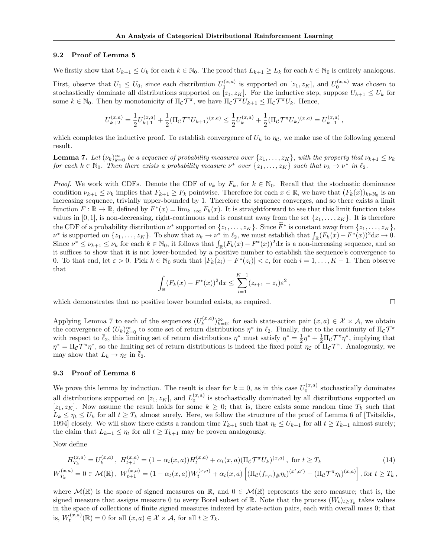#### 9.2 Proof of Lemma 5

We firstly show that  $U_{k+1} \leq U_k$  for each  $k \in \mathbb{N}_0$ . The proof that  $L_{k+1} \geq L_k$  for each  $k \in \mathbb{N}_0$  is entirely analogous.

First, observe that  $U_1 \n\t\le U_0$ , since each distribution  $U_1^{(x,a)}$  is supported on  $[z_1, z_K]$ , and  $U_0^{(x,a)}$  was chosen to stochastically dominate all distributions supported on  $[z_1, z_K]$ . For the inductive step, suppose  $U_{k+1} \leq U_k$  for some  $k \in \mathbb{N}_0$ . Then by monotonicity of  $\Pi_{\mathcal{C}} \mathcal{T}^{\pi}$ , we have  $\Pi_{\mathcal{C}} \mathcal{T}^{\pi} U_{k+1} \leq \Pi_{\mathcal{C}} \mathcal{T}^{\pi} U_k$ . Hence,

$$
U_{k+2}^{(x,a)} = \frac{1}{2} U_{k+1}^{(x,a)} + \frac{1}{2} (\Pi_{\mathcal{C}} \mathcal{T}^{\pi} U_{k+1})^{(x,a)} \leq \frac{1}{2} U_k^{(x,a)} + \frac{1}{2} (\Pi_{\mathcal{C}} \mathcal{T}^{\pi} U_k)^{(x,a)} = U_{k+1}^{(x,a)},
$$

which completes the inductive proof. To establish convergence of  $U_k$  to  $\eta_c$ , we make use of the following general result.

**Lemma 7.** Let  $(\nu_k)_{k=0}^{\infty}$  be a sequence of probability measures over  $\{z_1, \ldots, z_K\}$ , with the property that  $\nu_{k+1} \leq \nu_k$ for each  $k \in \mathbb{N}_0$ . Then there exists a probability measure  $\nu^*$  over  $\{z_1, \ldots, z_K\}$  such that  $\nu_k \to \nu^*$  in  $\ell_2$ .

*Proof.* We work with CDFs. Denote the CDF of  $\nu_k$  by  $F_k$ , for  $k \in \mathbb{N}_0$ . Recall that the stochastic dominance condition  $\nu_{k+1} \leq \nu_k$  implies that  $F_{k+1} \geq F_k$  pointwise. Therefore for each  $x \in \mathbb{R}$ , we have that  $(F_k(x))_{k \in \mathbb{N}_0}$  is an increasing sequence, trivially upper-bounded by 1. Therefore the sequence converges, and so there exists a limit function  $F : \mathbb{R} \to \mathbb{R}$ , defined by  $F^*(x) = \lim_{k \to \infty} F_k(x)$ . It is straightforward to see that this limit function takes values in [0, 1], is non-decreasing, right-continuous and is constant away from the set  $\{z_1, \ldots, z_K\}$ . It is therefore the CDF of a probability distribution  $\nu^*$  supported on  $\{z_1, \ldots, z_K\}$ . Since  $F^*$  is constant away from  $\{z_1, \ldots, z_K\}$ ,  $\nu^*$  is supported on  $\{z_1, \ldots, z_K\}$ . To show that  $\nu_k \to \nu^*$  in  $\ell_2$ , we must establish that  $\int_{\mathbb{R}} (F_k(x) - F^*(x))^2 dx \to 0$ . Since  $\nu^* \leq \nu_{k+1} \leq \nu_k$  for each  $k \in \mathbb{N}_0$ , it follows that  $\int_{\mathbb{R}} (F_k(x) - F^*(x))^2 dx$  is a non-increasing sequence, and so it suffices to show that it is not lower-bounded by a positive number to establish the sequence's convergence to 0. To that end, let  $\varepsilon > 0$ . Pick  $k \in \mathbb{N}_0$  such that  $|F_k(z_i) - F^*(z_i)| < \varepsilon$ , for each  $i = 1, ..., K - 1$ . Then observe that

$$
\int_{\mathbb{R}} (F_k(x) - F^*(x))^2 dx \le \sum_{i=1}^{K-1} (z_{i+1} - z_i) \varepsilon^2,
$$

which demonstrates that no positive lower bounded exists, as required.

Applying Lemma 7 to each of the sequences  $(U_k^{(x,a)}]$  $(k^{(x,a)}_{k})_{k=0}^{\infty}$ , for each state-action pair  $(x, a) \in \mathcal{X} \times \mathcal{A}$ , we obtain the convergence of  $(U_k)_{k=0}^{\infty}$  to some set of return distributions  $\eta^*$  in  $\overline{\ell}_2$ . Finally, due to the continuity of  $\Pi_{\mathcal{C}}\mathcal{T}^{\pi}$ with respect to  $\bar{\ell}_2$ , this limiting set of return distributions  $\eta^*$  must satisfy  $\eta^* = \frac{1}{2}\eta^* + \frac{1}{2}\Pi_c \mathcal{T}^{\pi}\eta^*$ , implying that  $\eta^* = \Pi_{\mathcal{C}} \mathcal{T}^{\pi} \eta^*$ , so the limiting set of return distributions is indeed the fixed point  $\eta_{\mathcal{C}}$  of  $\Pi_{\mathcal{C}} \mathcal{T}^{\pi}$ . Analogously, we may show that  $L_k \to \eta_c$  in  $\ell_2$ .

#### 9.3 Proof of Lemma 6

We prove this lemma by induction. The result is clear for  $k = 0$ , as in this case  $U_0^{(x,a)}$  stochastically dominates all distributions supported on  $[z_1, z_K]$ , and  $L_0^{(x,a)}$  is stochastically dominated by all distributions supported on  $[z_1, z_K]$ . Now assume the result holds for some  $k \geq 0$ ; that is, there exists some random time  $T_k$  such that  $L_k \leq \eta_t \leq U_k$  for all  $t \geq T_k$  almost surely. Here, we follow the structure of the proof of Lemma 6 of [Tsitsiklis, 1994] closely. We will show there exists a random time  $T_{k+1}$  such that  $\eta_t \leq U_{k+1}$  for all  $t \geq T_{k+1}$  almost surely; the claim that  $L_{k+1} \leq \eta_t$  for all  $t \geq T_{k+1}$  may be proven analogously.

Now define

$$
H_{T_k}^{(x,a)} = U_k^{(x,a)}, \ H_{t+1}^{(x,a)} = (1 - \alpha_t(x,a))H_t^{(x,a)} + \alpha_t(x,a)(\Pi_c \mathcal{T}^\pi U_k)^{(x,a)}, \text{ for } t \ge T_k
$$
 (14)

$$
W_{T_k}^{(x,a)} = 0 \in \mathcal{M}(\mathbb{R}), \ W_{t+1}^{(x,a)} = (1 - \alpha_t(x,a))W_t^{(x,a)} + \alpha_t(x,a) \left[ (\Pi_{\mathcal{C}}(f_{r,\gamma})_{\#} \eta_t)^{(x',a')} - (\Pi_{\mathcal{C}} \mathcal{T}^{\pi} \eta_t)^{(x,a)} \right],
$$
 for  $t \ge T_k$ ,

where  $\mathcal{M}(\mathbb{R})$  is the space of signed measures on  $\mathbb{R}$ , and  $0 \in \mathcal{M}(\mathbb{R})$  represents the zero measure; that is, the signed measure that assigns measure 0 to every Borel subset of R. Note that the process  $(W_t)_{t\geq T_k}$  takes values in the space of collections of finite signed measures indexed by state-action pairs, each with overall mass 0; that is,  $W_t^{(x,a)}(\mathbb{R}) = 0$  for all  $(x, a) \in \mathcal{X} \times \mathcal{A}$ , for all  $t \geq T_k$ .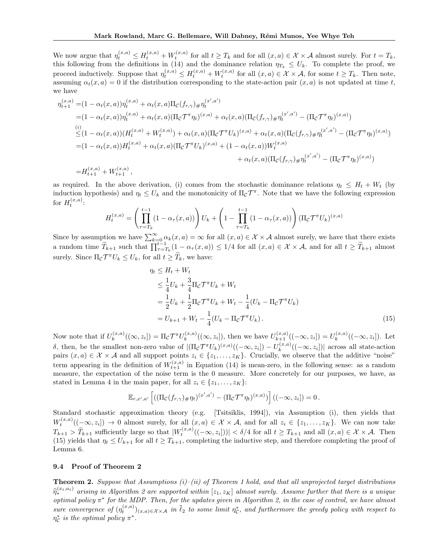We now argue that  $\eta_t^{(x,a)} \leq H_t^{(x,a)} + W_t^{(x,a)}$  for all  $t \geq T_k$  and for all  $(x,a) \in \mathcal{X} \times \mathcal{A}$  almost surely. For  $t = T_k$ , this following from the definitions in (14) and the dominance relation  $\eta_{T_k} \leq U_k$ . To complete the proof, we proceed inductively. Suppose that  $\eta_t^{(x,a)} \leq H_t^{(x,a)} + W_t^{(x,a)}$  for all  $(x,a) \in \mathcal{X} \times \mathcal{A}$ , for some  $t \geq T_k$ . Then note, assuming  $\alpha_t(x, a) = 0$  if the distribution corresponding to the state-action pair  $(x, a)$  is not updated at time t, we have

$$
\eta_{t+1}^{(x,a)} = (1 - \alpha_t(x,a))\eta_t^{(x,a)} + \alpha_t(x,a)\Pi_c(f_{r,\gamma})\# \eta_t^{(x',a')}
$$
\n
$$
= (1 - \alpha_t(x,a))\eta_t^{(x,a)} + \alpha_t(x,a)(\Pi_c \mathcal{T}^\pi \eta_t)^{(x,a)} + \alpha_t(x,a)(\Pi_c(f_{r,\gamma})\# \eta_t^{(x',a')} - (\Pi_c \mathcal{T}^\pi \eta_t)^{(x,a)})
$$
\n
$$
\leq (1 - \alpha_t(x,a))(H_t^{(x,a)} + W_t^{(x,a)}) + \alpha_t(x,a)(\Pi_c \mathcal{T}^\pi U_k)^{(x,a)} + \alpha_t(x,a)(\Pi_c(f_{r,\gamma})\# \eta_t^{(x',a')} - (\Pi_c \mathcal{T}^\pi \eta_t)^{(x,a)})
$$
\n
$$
= (1 - \alpha_t(x,a))H_t^{(x,a)} + \alpha_t(x,a)(\Pi_c \mathcal{T}^\pi U_k)^{(x,a)} + (1 - \alpha_t(x,a))W_t^{(x,a)}
$$
\n
$$
+ \alpha_t(x,a)(\Pi_c(f_{r,\gamma})\# \eta_t^{(x',a')} - (\Pi_c \mathcal{T}^\pi \eta_t)^{(x,a)})
$$
\n
$$
= H_{t+1}^{(x,a)} + W_{t+1}^{(x,a)},
$$

as required. In the above derivation, (i) comes from the stochastic dominance relations  $\eta_t \leq H_t + W_t$  (by induction hypothesis) and  $\eta_t \leq U_k$  and the monotonicity of  $\Pi_{\mathcal{C}} \mathcal{T}^{\pi}$ . Note that we have the following expression for  $H_t^{(x,a)}$ :

$$
H_t^{(x,a)} = \left(\prod_{\tau=T_k}^{t-1} (1 - \alpha_\tau(x, a))\right) U_k + \left(1 - \prod_{\tau=T_k}^{t-1} (1 - \alpha_\tau(x, a))\right) (\Pi_C \mathcal{T}^\pi U_k)^{(x,a)}
$$

Since by assumption we have  $\sum_{k=0}^{\infty} \alpha_k(x, a) = \infty$  for all  $(x, a) \in \mathcal{X} \times \mathcal{A}$  almost surely, we have that there exists a random time  $\widetilde{T}_{k+1}$  such that  $\prod_{\tau=T_k}^{t-1} (1 - \alpha_{\tau}(x, a)) \leq 1/4$  for all  $(x, a) \in \mathcal{X} \times \mathcal{A}$ , and for all  $t \geq \widetilde{T}_{k+1}$  almost surely. Since  $\Pi_{\mathcal{C}} \mathcal{T}^{\pi} U_k \leq U_k$ , for all  $t \geq T_k$ , we have:

$$
\eta_t \le H_t + W_t
$$
  
\n
$$
\le \frac{1}{4} U_k + \frac{3}{4} \Pi_C \mathcal{T}^\pi U_k + W_t
$$
  
\n
$$
= \frac{1}{2} U_k + \frac{1}{2} \Pi_C \mathcal{T}^\pi U_k + W_t - \frac{1}{4} (U_k - \Pi_C \mathcal{T}^\pi U_k)
$$
  
\n
$$
= U_{k+1} + W_t - \frac{1}{4} (U_k - \Pi_C \mathcal{T}^\pi U_k).
$$
\n(15)

Now note that if  $U_k^{(x,a)}$  $\mathcal{L}_k^{(x,a)}((\infty,z_i]) = \Pi_{\mathcal{C}} \mathcal{T}^{\pi} U_k^{(x,a)}$  $L_k^{(x,a)}((\infty, z_i]),$  then we have  $U_{k+1}^{(x,a)}((-\infty, z_i]) = U_k^{(x,a)}$  $\mathcal{L}_k^{(x,a)}((-\infty,z_i]).$  Let δ, then, be the smallest non-zero value of  $|(\Pi_{\mathcal{C}} \mathcal{T}^{\pi} U_k)^{(x,a)}((-\infty, z_i]) - U_k^{(x,a)}$  $\binom{(x,a)}{k}$  ( $(-\infty, z_i]$ ) across all state-action pairs  $(x, a) \in \mathcal{X} \times \mathcal{A}$  and all support points  $z_i \in \{z_1, \ldots, z_K\}$ . Crucially, we observe that the additive "noise" term appearing in the definition of  $W_{t+1}^{(x,a)}$  in Equation (14) is mean-zero, in the following sense: as a random measure, the expectation of the noise term is the 0 measure. More concretely for our purposes, we have, as stated in Lemma 4 in the main paper, for all  $z_i \in \{z_1, \ldots, z_K\}$ :

$$
\mathbb{E}_{r,x',a'}\left[((\Pi_{\mathcal{C}}(f_{r,\gamma})_{\#}\eta_t)^{(x',a')} - (\Pi_{\mathcal{C}}\mathcal{T}^{\pi}\eta_t)^{(x,a)})\right]((-\infty,z_i]) = 0.
$$

Standard stochastic approximation theory (e.g. [Tsitsiklis, 1994]), via Assumption (i), then yields that  $W_t^{(x,a)}((-\infty,z_i]) \to 0$  almost surely, for all  $(x,a) \in \mathcal{X} \times \mathcal{A}$ , and for all  $z_i \in \{z_1,\ldots,z_K\}$ . We can now take  $T_{k+1} > \tilde{T}_{k+1}$  sufficiently large so that  $|W_t^{(x,a)}((-\infty, z_i])| < \delta/4$  for all  $t \ge T_{k+1}$  and all  $(x, a) \in \mathcal{X} \times \mathcal{A}$ . Then (15) yields that  $\eta_t \leq U_{k+1}$  for all  $t \geq T_{k+1}$ , completing the inductive step, and therefore completing the proof of Lemma 6.

#### 9.4 Proof of Theorem 2

**Theorem 2.** Suppose that Assumptions  $(i)$ – $(ii)$  of Theorem 1 hold, and that all unprojected target distributions  $\widehat{\eta}_{*}^{(x_t,a_t)}$  arising in Algorithm 2 are supported within  $[z_1,z_K]$  almost surely. Assume further that there is a unique optimal policy  $\pi^*$  for the MDP. Then, for the updates given in Algorithm 2, in the case of control, we have almost sure convergence of  $(\eta_t^{(x,a)})_{(x,a)\in\mathcal{X}\times\mathcal{A}}$  in  $\overline{\ell}_2$  to some limit  $\eta_c^*$ , and furthermore the greedy policy with respect to  $\eta_{\mathcal{C}}^{*}$  is the optimal policy  $\pi^{*}.$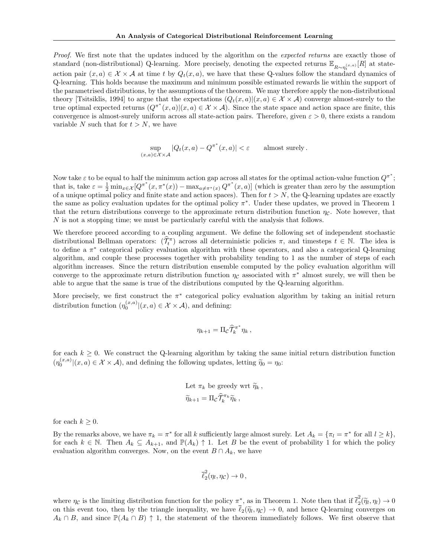Proof. We first note that the updates induced by the algorithm on the *expected returns* are exactly those of standard (non-distributional) Q-learning. More precisely, denoting the expected returns  $\mathbb{E}_{R\sim\eta_t^{(x,a)}}[R]$  at stateaction pair  $(x, a) \in \mathcal{X} \times \mathcal{A}$  at time t by  $Q_t(x, a)$ , we have that these Q-values follow the standard dynamics of Q-learning. This holds because the maximum and minimum possible estimated rewards lie within the support of the parametrised distributions, by the assumptions of the theorem. We may therefore apply the non-distributional theory [Tsitsiklis, 1994] to argue that the expectations  $(Q_t(x, a)|(x, a) \in \mathcal{X} \times \mathcal{A})$  converge almost-surely to the true optimal expected returns  $(Q^{\pi^*}(x,a)|(x,a) \in \mathcal{X} \times \mathcal{A})$ . Since the state space and action space are finite, this convergence is almost-surely uniform across all state-action pairs. Therefore, given  $\varepsilon > 0$ , there exists a random variable N such that for  $t > N$ , we have

$$
\sup_{(x,a)\in\mathcal{X}\times\mathcal{A}}|Q_t(x,a)-Q^{\pi^*}(x,a)|<\varepsilon\qquad\text{almost surely}.
$$

Now take  $\varepsilon$  to be equal to half the minimum action gap across all states for the optimal action-value function  $Q^{\pi^*};$ that is, take  $\varepsilon = \frac{1}{2} \min_{x \in \mathcal{X}} [Q^{\pi^*}(x, \pi^*(x)) - \max_{a \neq \pi^*(x)} Q^{\pi^*}(x, a)]$  (which is greater than zero by the assumption of a unique optimal policy and finite state and action spaces). Then for  $t > N$ , the Q-learning updates are exactly the same as policy evaluation updates for the optimal policy π ∗ . Under these updates, we proved in Theorem 1 that the return distributions converge to the approximate return distribution function  $\eta_c$ . Note however, that N is not a stopping time; we must be particularly careful with the analysis that follows.

We therefore proceed according to a coupling argument. We define the following set of independent stochastic distributional Bellman operators:  $(\hat{\mathcal{T}}_t^{\pi})$  across all deterministic policies  $\pi$ , and timesteps  $t \in \mathbb{N}$ . The idea is to define a π ∗ categorical policy evaluation algorithm with these operators, and also a categorical Q-learning algorithm, and couple these processes together with probability tending to 1 as the number of steps of each algorithm increases. Since the return distribution ensemble computed by the policy evaluation algorithm will converge to the approximate return distribution function  $\eta_c$  associated with  $\pi^*$  almost surely, we will then be able to argue that the same is true of the distributions computed by the Q-learning algorithm.

More precisely, we first construct the  $\pi^*$  categorical policy evaluation algorithm by taking an initial return distribution function  $(\eta_0^{(x,a)}|(x,a) \in \mathcal{X} \times \mathcal{A})$ , and defining:

$$
\eta_{k+1} = \Pi_{\mathcal{C}} \widehat{\mathcal{T}}_k^{\pi^*} \eta_k ,
$$

for each  $k \geq 0$ . We construct the Q-learning algorithm by taking the same initial return distribution function  $(\eta_0^{(x,a)}|(x,a) \in \mathcal{X} \times \mathcal{A})$ , and defining the following updates, letting  $\tilde{\eta}_0 = \eta_0$ :

Let 
$$
\pi_k
$$
 be greedy wrt  $\tilde{\eta}_k$ ,  
 $\tilde{\eta}_{k+1} = \Pi_c \hat{\mathcal{T}}_k^{\pi_k} \tilde{\eta}_k$ ,

for each  $k \geq 0$ .

By the remarks above, we have  $\pi_k = \pi^*$  for all k sufficiently large almost surely. Let  $A_k = {\pi_l = \pi^*$  for all  $l \geq k}$ , for each  $k \in \mathbb{N}$ . Then  $A_k \subseteq A_{k+1}$ , and  $\mathbb{P}(A_k) \uparrow 1$ . Let B be the event of probability 1 for which the policy evaluation algorithm converges. Now, on the event  $B \cap A_k$ , we have

$$
\overline{\ell}_2^2(\eta_l, \eta_{\mathcal{C}}) \to 0\,,
$$

where  $\eta_c$  is the limiting distribution function for the policy  $\pi^*$ , as in Theorem 1. Note then that if  $\bar{\ell}_2^2$  $\tilde{e}_2(\tilde{\eta}_l, \eta_l) \to 0$ on this event too, then by the triangle inequality, we have  $\ell_2(\tilde{\eta}_l, \eta_c) \to 0$ , and hence Q-learning converges on  $A_k \cap B$ , and since  $\mathbb{P}(A_k \cap B) \uparrow 1$ , the statement of the theorem immediately follows. We first observe that